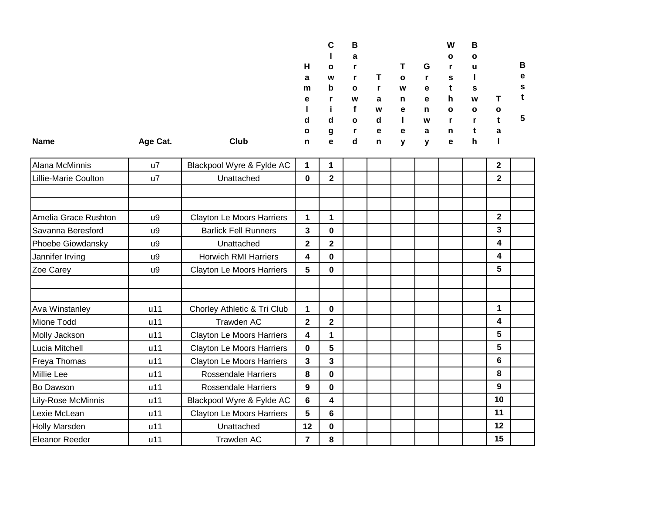|             |          |      |              | C            | в            |   |              |   | W            | В            |           |              |
|-------------|----------|------|--------------|--------------|--------------|---|--------------|---|--------------|--------------|-----------|--------------|
|             |          |      |              |              | a            |   |              |   | $\mathbf{o}$ | $\mathbf{o}$ |           |              |
|             |          |      | н            | $\mathbf{o}$ |              |   |              | G | r            | u            |           | в            |
|             |          |      | a            | W            |              |   | $\mathbf{o}$ |   | s            |              |           | е            |
|             |          |      | m            | $\mathbf b$  | $\mathbf{o}$ |   | W            | e |              | s            |           | s            |
|             |          |      | е            |              | W            | а | n            | e | h            | W            |           |              |
|             |          |      |              |              |              | W | е            | n | $\mathbf{o}$ | $\mathbf{o}$ | $\bullet$ |              |
|             |          |      | d            | d            | $\mathbf{o}$ | d |              | W | r            |              |           | $\mathbf{p}$ |
|             |          |      | $\mathbf{o}$ | g            |              | e | e            | а | n            |              | a         |              |
| <b>Name</b> | Age Cat. | Club | n            | e            | d            | n | v            | v | е            | h            |           |              |

| Alana McMinnis        | u7  | Blackpool Wyre & Fylde AC        | 1           | 1              |  |  |  | $\mathbf{2}$ |  |
|-----------------------|-----|----------------------------------|-------------|----------------|--|--|--|--------------|--|
| Lillie-Marie Coulton  | u7  | Unattached                       | 0           | $\overline{2}$ |  |  |  | $\mathbf{2}$ |  |
|                       |     |                                  |             |                |  |  |  |              |  |
|                       |     |                                  |             |                |  |  |  |              |  |
| Amelia Grace Rushton  | u9  | <b>Clayton Le Moors Harriers</b> | 1           | 1              |  |  |  | $\mathbf 2$  |  |
| Savanna Beresford     | u9  | <b>Barlick Fell Runners</b>      | 3           | $\mathbf 0$    |  |  |  | 3            |  |
| Phoebe Giowdansky     | u9  | Unattached                       | $\mathbf 2$ | $\overline{2}$ |  |  |  | 4            |  |
| Jannifer Irving       | u9  | <b>Horwich RMI Harriers</b>      | 4           | $\mathbf 0$    |  |  |  | 4            |  |
| Zoe Carey             | u9  | <b>Clayton Le Moors Harriers</b> | 5           | $\bf{0}$       |  |  |  | 5            |  |
|                       |     |                                  |             |                |  |  |  |              |  |
|                       |     |                                  |             |                |  |  |  |              |  |
| Ava Winstanley        | u11 | Chorley Athletic & Tri Club      | 1           | $\mathbf 0$    |  |  |  | 1            |  |
| Mione Todd            | u11 | Trawden AC                       | $\mathbf 2$ | $\mathbf 2$    |  |  |  | 4            |  |
| Molly Jackson         | u11 | Clayton Le Moors Harriers        | 4           | 1              |  |  |  | 5            |  |
| Lucia Mitchell        | u11 | Clayton Le Moors Harriers        | 0           | $5\phantom{1}$ |  |  |  | 5            |  |
| Freya Thomas          | u11 | <b>Clayton Le Moors Harriers</b> | 3           | 3              |  |  |  | 6            |  |
| Millie Lee            | u11 | <b>Rossendale Harriers</b>       | 8           | $\bf{0}$       |  |  |  | 8            |  |
| Bo Dawson             | u11 | <b>Rossendale Harriers</b>       | 9           | $\mathbf 0$    |  |  |  | 9            |  |
| Lily-Rose McMinnis    | u11 | Blackpool Wyre & Fylde AC        | 6           | 4              |  |  |  | 10           |  |
| Lexie McLean          | u11 | <b>Clayton Le Moors Harriers</b> | 5           | 6              |  |  |  | 11           |  |
| Holly Marsden         | u11 | Unattached                       | 12          | $\bf{0}$       |  |  |  | 12           |  |
| <b>Eleanor Reeder</b> | u11 | Trawden AC                       | 7           | 8              |  |  |  | 15           |  |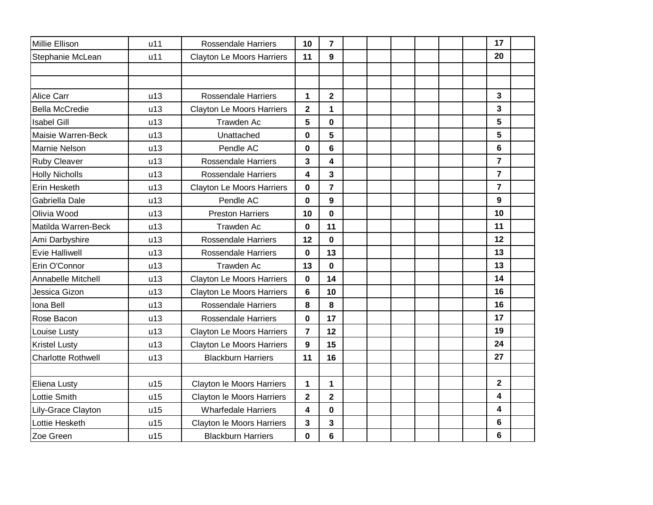| Millie Ellison            | u11 | <b>Rossendale Harriers</b>       | 10          | $\overline{7}$          |  |  |  | 17             |  |
|---------------------------|-----|----------------------------------|-------------|-------------------------|--|--|--|----------------|--|
| Stephanie McLean          | u11 | <b>Clayton Le Moors Harriers</b> | 11          | 9                       |  |  |  | 20             |  |
|                           |     |                                  |             |                         |  |  |  |                |  |
|                           |     |                                  |             |                         |  |  |  |                |  |
| Alice Carr                | u13 | <b>Rossendale Harriers</b>       | 1           | $\mathbf 2$             |  |  |  | 3              |  |
| <b>Bella McCredie</b>     | u13 | <b>Clayton Le Moors Harriers</b> | $\mathbf 2$ | 1                       |  |  |  | 3              |  |
| <b>Isabel Gill</b>        | u13 | Trawden Ac                       | 5           | 0                       |  |  |  | 5              |  |
| Maisie Warren-Beck        | u13 | Unattached                       | 0           | 5                       |  |  |  | 5              |  |
| Marnie Nelson             | u13 | Pendle AC                        | $\mathbf 0$ | 6                       |  |  |  | 6              |  |
| <b>Ruby Cleaver</b>       | u13 | <b>Rossendale Harriers</b>       | 3           | 4                       |  |  |  | $\overline{7}$ |  |
| <b>Holly Nicholls</b>     | u13 | <b>Rossendale Harriers</b>       | 4           | 3                       |  |  |  | $\overline{7}$ |  |
| Erin Hesketh              | u13 | <b>Clayton Le Moors Harriers</b> | $\mathbf 0$ | $\overline{7}$          |  |  |  | $\overline{7}$ |  |
| Gabriella Dale            | u13 | Pendle AC                        | 0           | 9                       |  |  |  | 9              |  |
| Olivia Wood               | u13 | <b>Preston Harriers</b>          | 10          | $\mathbf{0}$            |  |  |  | 10             |  |
| Matilda Warren-Beck       | u13 | <b>Trawden Ac</b>                | 0           | 11                      |  |  |  | 11             |  |
| Ami Darbyshire            | u13 | <b>Rossendale Harriers</b>       | 12          | $\bf{0}$                |  |  |  | 12             |  |
| <b>Evie Halliwell</b>     | u13 | <b>Rossendale Harriers</b>       | $\mathbf 0$ | 13                      |  |  |  | 13             |  |
| Erin O'Connor             | u13 | Trawden Ac                       | 13          | 0                       |  |  |  | 13             |  |
| Annabelle Mitchell        | u13 | <b>Clayton Le Moors Harriers</b> | $\bf{0}$    | 14                      |  |  |  | 14             |  |
| Jessica Gizon             | u13 | <b>Clayton Le Moors Harriers</b> | 6           | 10                      |  |  |  | 16             |  |
| Iona Bell                 | u13 | <b>Rossendale Harriers</b>       | 8           | 8                       |  |  |  | 16             |  |
| Rose Bacon                | u13 | <b>Rossendale Harriers</b>       | $\mathbf 0$ | 17                      |  |  |  | 17             |  |
| Louise Lusty              | u13 | <b>Clayton Le Moors Harriers</b> | 7           | 12                      |  |  |  | 19             |  |
| <b>Kristel Lusty</b>      | u13 | <b>Clayton Le Moors Harriers</b> | 9           | 15                      |  |  |  | 24             |  |
| <b>Charlotte Rothwell</b> | u13 | <b>Blackburn Harriers</b>        | 11          | 16                      |  |  |  | 27             |  |
|                           |     |                                  |             |                         |  |  |  |                |  |
| Eliena Lusty              | u15 | Clayton le Moors Harriers        | 1           | 1                       |  |  |  | $\overline{2}$ |  |
| Lottie Smith              | u15 | Clayton le Moors Harriers        | $\mathbf 2$ | $\overline{\mathbf{2}}$ |  |  |  | 4              |  |
| Lily-Grace Clayton        | u15 | <b>Wharfedale Harriers</b>       | 4           | $\mathbf 0$             |  |  |  | 4              |  |
| Lottie Hesketh            | u15 | Clayton le Moors Harriers        | 3           | 3                       |  |  |  | 6              |  |
| Zoe Green                 | u15 | <b>Blackburn Harriers</b>        | 0           | $6\phantom{1}$          |  |  |  | 6              |  |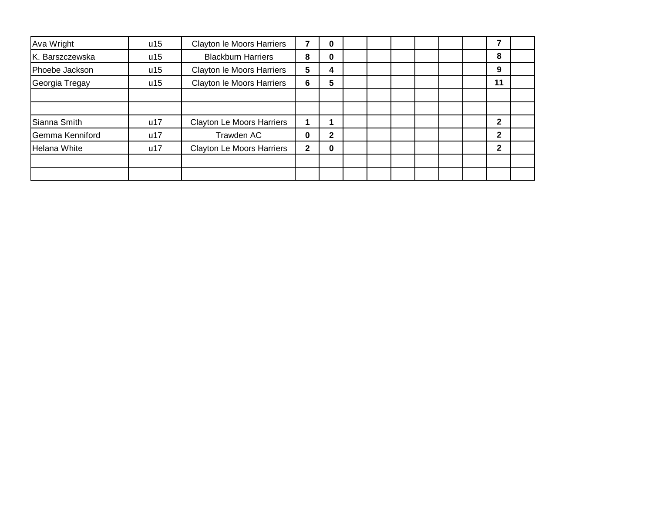| Ava Wright      | u15 | Clayton le Moors Harriers        |   | 0 |  |  |  |              |  |
|-----------------|-----|----------------------------------|---|---|--|--|--|--------------|--|
| K. Barszczewska | u15 | <b>Blackburn Harriers</b>        | 8 | 0 |  |  |  | 8            |  |
| Phoebe Jackson  | u15 | Clayton le Moors Harriers        | 5 | 4 |  |  |  | 9            |  |
| Georgia Tregay  | u15 | Clayton le Moors Harriers        | 6 | 5 |  |  |  | 11           |  |
|                 |     |                                  |   |   |  |  |  |              |  |
|                 |     |                                  |   |   |  |  |  |              |  |
| Sianna Smith    | u17 | <b>Clayton Le Moors Harriers</b> |   |   |  |  |  | $\mathbf{2}$ |  |
| Gemma Kenniford | u17 | Trawden AC                       | 0 | 2 |  |  |  | 2            |  |
| Helana White    | u17 | <b>Clayton Le Moors Harriers</b> | 2 | 0 |  |  |  | $\mathbf{2}$ |  |
|                 |     |                                  |   |   |  |  |  |              |  |
|                 |     |                                  |   |   |  |  |  |              |  |